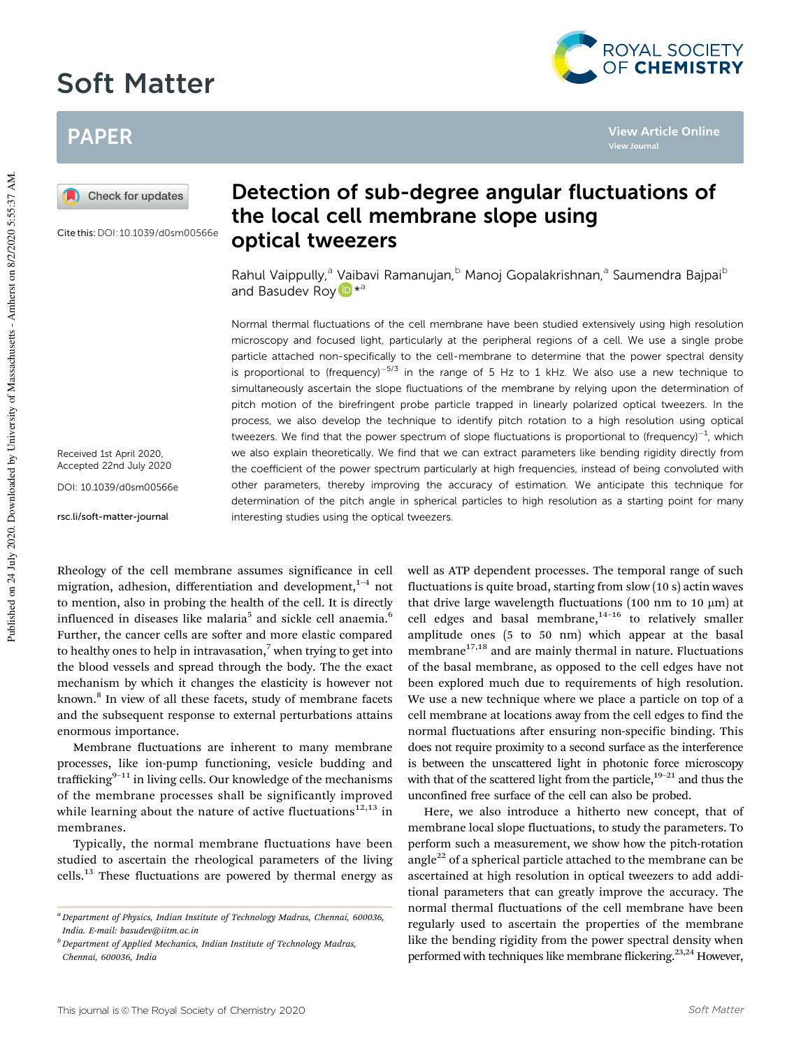# Soft Matter



**View Journal**

**View Article Online**

## PAPER



Cite this:DOI: 10.1039/d0sm00566e

Received 1st April 2020, Accepted 22nd July 2020 DOI: 10.1039/d0sm00566e

rsc.li/soft-matter-journal

## Detection of sub-degree angular fluctuations of the local cell membrane slope using optical tweezers

Rahul Vaippully,<sup>a</sup> Vaibavi Ramanujan,<sup>b</sup> Manoj Gopalakrishnan,<sup>a</sup> Saumendra Bajpai<sup>b</sup> and Basudev Roy D<sup>\*a</sup>

Normal thermal fluctuations of the cell membrane have been studied extensively using high resolution microscopy and focused light, particularly at the peripheral regions of a cell. We use a single probe particle attached non-specifically to the cell-membrane to determine that the power spectral density is proportional to (frequency)<sup>-5/3</sup> in the range of 5 Hz to 1 kHz. We also use a new technique to simultaneously ascertain the slope fluctuations of the membrane by relying upon the determination of pitch motion of the birefringent probe particle trapped in linearly polarized optical tweezers. In the process, we also develop the technique to identify pitch rotation to a high resolution using optical tweezers. We find that the power spectrum of slope fluctuations is proportional to (frequency) $^{-1}$ , which we also explain theoretically. We find that we can extract parameters like bending rigidity directly from the coefficient of the power spectrum particularly at high frequencies, instead of being convoluted with other parameters, thereby improving the accuracy of estimation. We anticipate this technique for determination of the pitch angle in spherical particles to high resolution as a starting point for many interesting studies using the optical tweezers.

Rheology of the cell membrane assumes significance in cell migration, adhesion, differentiation and development, $1-4$  not to mention, also in probing the health of the cell. It is directly influenced in diseases like malaria<sup>5</sup> and sickle cell anaemia.<sup>6</sup> Further, the cancer cells are softer and more elastic compared to healthy ones to help in intravasation, $\frac{7}{1}$  when trying to get into the blood vessels and spread through the body. The the exact mechanism by which it changes the elasticity is however not known.<sup>8</sup> In view of all these facets, study of membrane facets and the subsequent response to external perturbations attains enormous importance.

Membrane fluctuations are inherent to many membrane processes, like ion-pump functioning, vesicle budding and trafficking $9-11$  in living cells. Our knowledge of the mechanisms of the membrane processes shall be significantly improved while learning about the nature of active fluctuations<sup>12,13</sup> in membranes.

Typically, the normal membrane fluctuations have been studied to ascertain the rheological parameters of the living cells.<sup>13</sup> These fluctuations are powered by thermal energy as

*<sup>b</sup> Department of Applied Mechanics, Indian Institute of Technology Madras, Chennai, 600036, India*

well as ATP dependent processes. The temporal range of such fluctuations is quite broad, starting from slow (10 s) actin waves that drive large wavelength fluctuations (100 nm to 10  $\mu$ m) at cell edges and basal membrane, $14-16$  to relatively smaller amplitude ones (5 to 50 nm) which appear at the basal membrane $17,18$  and are mainly thermal in nature. Fluctuations of the basal membrane, as opposed to the cell edges have not been explored much due to requirements of high resolution. We use a new technique where we place a particle on top of a cell membrane at locations away from the cell edges to find the normal fluctuations after ensuring non-specific binding. This does not require proximity to a second surface as the interference is between the unscattered light in photonic force microscopy with that of the scattered light from the particle,<sup>19–21</sup> and thus the unconfined free surface of the cell can also be probed.

Here, we also introduce a hitherto new concept, that of membrane local slope fluctuations, to study the parameters. To perform such a measurement, we show how the pitch-rotation angle<sup>22</sup> of a spherical particle attached to the membrane can be ascertained at high resolution in optical tweezers to add additional parameters that can greatly improve the accuracy. The normal thermal fluctuations of the cell membrane have been regularly used to ascertain the properties of the membrane like the bending rigidity from the power spectral density when performed with techniques like membrane flickering.<sup>23,24</sup> However,

*<sup>a</sup> Department of Physics, Indian Institute of Technology Madras, Chennai, 600036, India. E-mail: basudev@iitm.ac.in*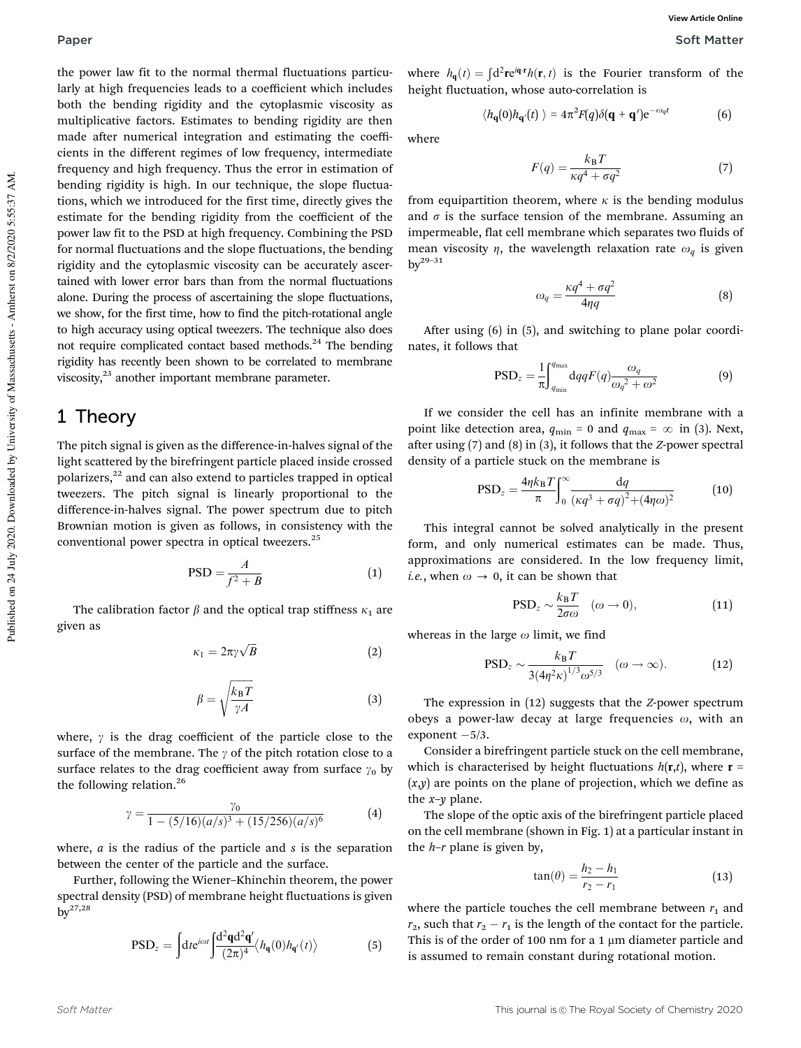the power law fit to the normal thermal fluctuations particularly at high frequencies leads to a coefficient which includes both the bending rigidity and the cytoplasmic viscosity as multiplicative factors. Estimates to bending rigidity are then made after numerical integration and estimating the coefficients in the different regimes of low frequency, intermediate frequency and high frequency. Thus the error in estimation of bending rigidity is high. In our technique, the slope fluctuations, which we introduced for the first time, directly gives the estimate for the bending rigidity from the coefficient of the power law fit to the PSD at high frequency. Combining the PSD for normal fluctuations and the slope fluctuations, the bending rigidity and the cytoplasmic viscosity can be accurately ascertained with lower error bars than from the normal fluctuations alone. During the process of ascertaining the slope fluctuations, we show, for the first time, how to find the pitch-rotational angle to high accuracy using optical tweezers. The technique also does not require complicated contact based methods.<sup>24</sup> The bending rigidity has recently been shown to be correlated to membrane viscosity,<sup>23</sup> another important membrane parameter.

### 1 Theory

The pitch signal is given as the difference-in-halves signal of the light scattered by the birefringent particle placed inside crossed polarizers, $^{22}$  and can also extend to particles trapped in optical tweezers. The pitch signal is linearly proportional to the difference-in-halves signal. The power spectrum due to pitch Brownian motion is given as follows, in consistency with the conventional power spectra in optical tweezers.<sup>25</sup>

$$
PSD = \frac{A}{f^2 + B} \tag{1}
$$

The calibration factor  $\beta$  and the optical trap stiffness  $\kappa_1$  are given as

$$
\kappa_1 = 2\pi \gamma \sqrt{B} \tag{2}
$$

$$
\beta = \sqrt{\frac{k_{\rm B}T}{\gamma A}}\tag{3}
$$

where,  $\gamma$  is the drag coefficient of the particle close to the surface of the membrane. The  $\gamma$  of the pitch rotation close to a surface relates to the drag coefficient away from surface  $\gamma_0$  by the following relation.<sup>26</sup>

$$
\gamma = \frac{\gamma_0}{1 - (5/16)(a/s)^3 + (15/256)(a/s)^6} \tag{4}
$$

where, *a* is the radius of the particle and *s* is the separation between the center of the particle and the surface.

Further, following the Wiener–Khinchin theorem, the power spectral density (PSD) of membrane height fluctuations is given  $bv^{27,28}$ 

$$
\text{PSD}_z = \int dt e^{i\omega t} \int \frac{\mathrm{d}^2 \mathbf{q} \mathrm{d}^2 \mathbf{q}'}{(2\pi)^4} \langle h_{\mathbf{q}}(0) h_{\mathbf{q}'}(t) \rangle \tag{5}
$$

where  $h_{\mathbf{q}}(t) = \int d^2 \mathbf{r} e^{i\mathbf{q} \cdot \mathbf{r}} h(\mathbf{r}, t)$  is the Fourier transform of the height fluctuation, whose auto-correlation is

$$
\langle h_{\mathbf{q}}(0)h_{\mathbf{q}'}(t)\rangle = 4\pi^2 F(q)\delta(\mathbf{q}+\mathbf{q}')e^{-\omega_q t} \tag{6}
$$

where

$$
F(q) = \frac{k_B T}{\kappa q^4 + \sigma q^2} \tag{7}
$$

from equipartition theorem, where  $\kappa$  is the bending modulus and  $\sigma$  is the surface tension of the membrane. Assuming an impermeable, flat cell membrane which separates two fluids of mean viscosity  $\eta$ , the wavelength relaxation rate  $\omega_q$  is given  $bv^{29-31}$ 

$$
\omega_q = \frac{\kappa q^4 + \sigma q^2}{4\eta q} \tag{8}
$$

After using (6) in (5), and switching to plane polar coordinates, it follows that

$$
PSD_z = \frac{1}{\pi} \int_{q_{\min}}^{q_{\max}} dqqF(q) \frac{\omega_q}{\omega_q^2 + \omega^2}
$$
(9)

If we consider the cell has an infinite membrane with a point like detection area,  $q_{\min} = 0$  and  $q_{\max} = \infty$  in (3). Next, after using (7) and (8) in (3), it follows that the *Z*-power spectral density of a particle stuck on the membrane is

$$
\text{PSD}_z = \frac{4\eta k_\text{B} T}{\pi} \int_0^\infty \frac{\text{d}q}{\left(\kappa q^3 + \sigma q\right)^2 + (4\eta \omega)^2} \tag{10}
$$

This integral cannot be solved analytically in the present form, and only numerical estimates can be made. Thus, approximations are considered. In the low frequency limit, *i.e.*, when  $\omega \rightarrow 0$ , it can be shown that

$$
\text{PSD}_z \sim \frac{k_\text{B}T}{2\sigma\omega} \quad (\omega \to 0), \tag{11}
$$

whereas in the large  $\omega$  limit, we find

$$
\text{PSD}_z \sim \frac{k_\text{B} T}{3(4\eta^2 \kappa)^{1/3} \omega^{5/3}} \quad (\omega \to \infty). \tag{12}
$$

The expression in (12) suggests that the *Z*-power spectrum obeys a power-law decay at large frequencies  $\omega$ , with an  $exponent -5/3$ .

Consider a birefringent particle stuck on the cell membrane, which is characterised by height fluctuations  $h(\mathbf{r},t)$ , where  $\mathbf{r} =$ (*x*,*y*) are points on the plane of projection, which we define as the *x*–*y* plane.

The slope of the optic axis of the birefringent particle placed on the cell membrane (shown in Fig. 1) at a particular instant in the *h*–*r* plane is given by,

$$
\tan(\theta) = \frac{h_2 - h_1}{r_2 - r_1} \tag{13}
$$

where the particle touches the cell membrane between  $r_1$  and  $r_2$ , such that  $r_2 - r_1$  is the length of the contact for the particle. This is of the order of 100 nm for a 1  $\mu$ m diameter particle and is assumed to remain constant during rotational motion.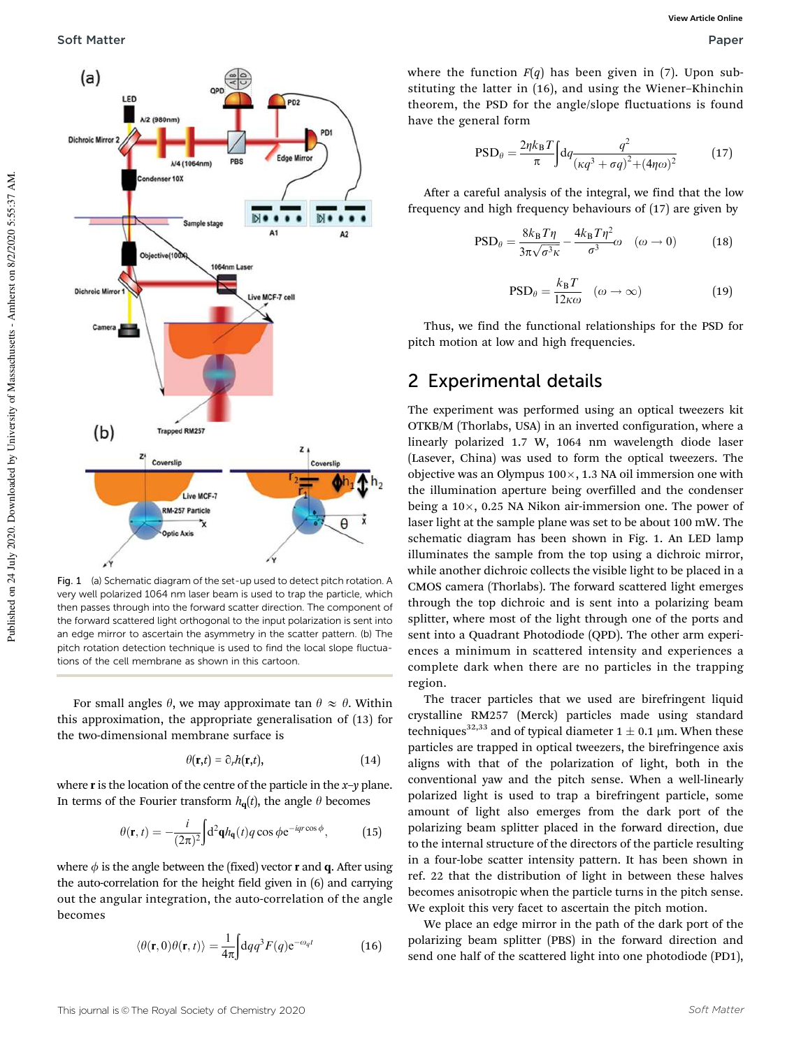

Fig. 1 (a) Schematic diagram of the set-up used to detect pitch rotation. A very well polarized 1064 nm laser beam is used to trap the particle, which then passes through into the forward scatter direction. The component of the forward scattered light orthogonal to the input polarization is sent into an edge mirror to ascertain the asymmetry in the scatter pattern. (b) The pitch rotation detection technique is used to find the local slope fluctuations of the cell membrane as shown in this cartoon.

For small angles  $\theta$ , we may approximate tan  $\theta \approx \theta$ . Within this approximation, the appropriate generalisation of (13) for the two-dimensional membrane surface is

$$
\theta(\mathbf{r},t) = \partial_r h(\mathbf{r},t),\tag{14}
$$

where r is the location of the centre of the particle in the *x*–*y* plane. In terms of the Fourier transform  $h_{q}(t)$ , the angle  $\theta$  becomes

$$
\theta(\mathbf{r},t) = -\frac{i}{(2\pi)^2} \int d^2 \mathbf{q} h_{\mathbf{q}}(t) q \cos \phi e^{-i q r \cos \phi},
$$
 (15)

where  $\phi$  is the angle between the (fixed) vector **r** and **q**. After using the auto-correlation for the height field given in (6) and carrying out the angular integration, the auto-correlation of the angle becomes

$$
\langle \theta(\mathbf{r},0)\theta(\mathbf{r},t)\rangle = \frac{1}{4\pi} \int dqq^3 F(q) e^{-\omega_q t}
$$
 (16)

where the function  $F(q)$  has been given in (7). Upon substituting the latter in (16), and using the Wiener–Khinchin theorem, the PSD for the angle/slope fluctuations is found have the general form

$$
PSD_{\theta} = \frac{2\eta k_{\rm B} T}{\pi} \int dq \frac{q^2}{\left(\kappa q^3 + \sigma q\right)^2 + (4\eta \omega)^2} \tag{17}
$$

After a careful analysis of the integral, we find that the low frequency and high frequency behaviours of (17) are given by

$$
\text{PSD}_{\theta} = \frac{8k_{\text{B}}T\eta}{3\pi\sqrt{\sigma^3\kappa}} - \frac{4k_{\text{B}}T\eta^2}{\sigma^3}\omega \quad (\omega \to 0) \tag{18}
$$

$$
PSD_{\theta} = \frac{k_{\text{B}}T}{12\kappa\omega} \quad (\omega \to \infty)
$$
 (19)

Thus, we find the functional relationships for the PSD for pitch motion at low and high frequencies.

### 2 Experimental details

The experiment was performed using an optical tweezers kit OTKB/M (Thorlabs, USA) in an inverted configuration, where a linearly polarized 1.7 W, 1064 nm wavelength diode laser (Lasever, China) was used to form the optical tweezers. The objective was an Olympus  $100 \times$ , 1.3 NA oil immersion one with the illumination aperture being overfilled and the condenser being a  $10\times$ , 0.25 NA Nikon air-immersion one. The power of laser light at the sample plane was set to be about 100 mW. The schematic diagram has been shown in Fig. 1. An LED lamp illuminates the sample from the top using a dichroic mirror, while another dichroic collects the visible light to be placed in a CMOS camera (Thorlabs). The forward scattered light emerges through the top dichroic and is sent into a polarizing beam splitter, where most of the light through one of the ports and sent into a Quadrant Photodiode (QPD). The other arm experiences a minimum in scattered intensity and experiences a complete dark when there are no particles in the trapping region.

The tracer particles that we used are birefringent liquid crystalline RM257 (Merck) particles made using standard techniques<sup>32,33</sup> and of typical diameter  $1 \pm 0.1$  µm. When these particles are trapped in optical tweezers, the birefringence axis aligns with that of the polarization of light, both in the conventional yaw and the pitch sense. When a well-linearly polarized light is used to trap a birefringent particle, some amount of light also emerges from the dark port of the polarizing beam splitter placed in the forward direction, due to the internal structure of the directors of the particle resulting in a four-lobe scatter intensity pattern. It has been shown in ref. 22 that the distribution of light in between these halves becomes anisotropic when the particle turns in the pitch sense. We exploit this very facet to ascertain the pitch motion.

We place an edge mirror in the path of the dark port of the polarizing beam splitter (PBS) in the forward direction and send one half of the scattered light into one photodiode (PD1),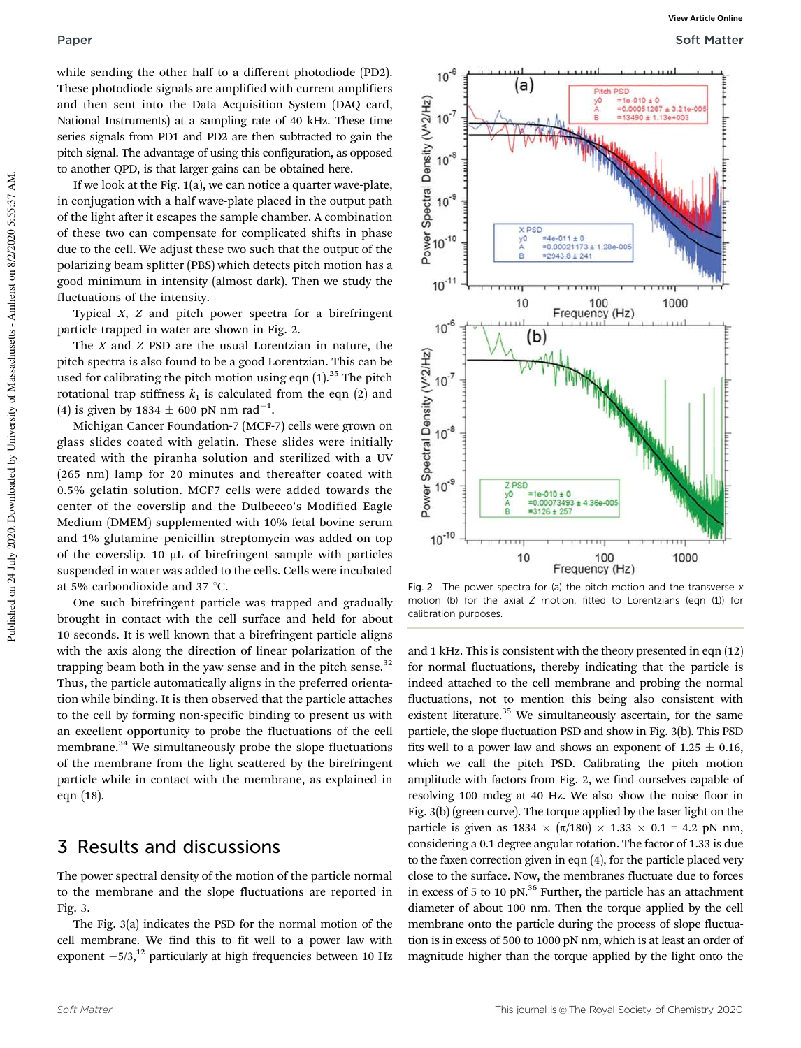while sending the other half to a different photodiode (PD2). These photodiode signals are amplified with current amplifiers and then sent into the Data Acquisition System (DAQ card, National Instruments) at a sampling rate of 40 kHz. These time series signals from PD1 and PD2 are then subtracted to gain the pitch signal. The advantage of using this configuration, as opposed to another QPD, is that larger gains can be obtained here.

If we look at the Fig. 1(a), we can notice a quarter wave-plate, in conjugation with a half wave-plate placed in the output path of the light after it escapes the sample chamber. A combination of these two can compensate for complicated shifts in phase due to the cell. We adjust these two such that the output of the polarizing beam splitter (PBS) which detects pitch motion has a good minimum in intensity (almost dark). Then we study the fluctuations of the intensity.

Typical *X*, *Z* and pitch power spectra for a birefringent particle trapped in water are shown in Fig. 2.

The *X* and *Z* PSD are the usual Lorentzian in nature, the pitch spectra is also found to be a good Lorentzian. This can be used for calibrating the pitch motion using eqn  $(1).^{25}$  The pitch rotational trap stiffness  $k_1$  is calculated from the eqn (2) and (4) is given by  $1834 \pm 600$  pN nm rad<sup>-1</sup>.

Michigan Cancer Foundation-7 (MCF-7) cells were grown on glass slides coated with gelatin. These slides were initially treated with the piranha solution and sterilized with a UV (265 nm) lamp for 20 minutes and thereafter coated with 0.5% gelatin solution. MCF7 cells were added towards the center of the coverslip and the Dulbecco's Modified Eagle Medium (DMEM) supplemented with 10% fetal bovine serum and 1% glutamine–penicillin–streptomycin was added on top of the coverslip.  $10 \mu L$  of birefringent sample with particles suspended in water was added to the cells. Cells were incubated at 5% carbondioxide and 37 $\degree$ C.

One such birefringent particle was trapped and gradually brought in contact with the cell surface and held for about 10 seconds. It is well known that a birefringent particle aligns with the axis along the direction of linear polarization of the trapping beam both in the yaw sense and in the pitch sense. $32$ Thus, the particle automatically aligns in the preferred orientation while binding. It is then observed that the particle attaches to the cell by forming non-specific binding to present us with an excellent opportunity to probe the fluctuations of the cell membrane.<sup>34</sup> We simultaneously probe the slope fluctuations of the membrane from the light scattered by the birefringent particle while in contact with the membrane, as explained in eqn (18).

### 3 Results and discussions

The power spectral density of the motion of the particle normal to the membrane and the slope fluctuations are reported in Fig. 3.

The Fig. 3(a) indicates the PSD for the normal motion of the cell membrane. We find this to fit well to a power law with exponent  $-5/3$ ,<sup>12</sup> particularly at high frequencies between 10 Hz



Fig. 2 The power spectra for (a) the pitch motion and the transverse  $x$ motion (b) for the axial Z motion, fitted to Lorentzians (eqn (1)) for calibration purposes.

and 1 kHz. This is consistent with the theory presented in eqn (12) for normal fluctuations, thereby indicating that the particle is indeed attached to the cell membrane and probing the normal fluctuations, not to mention this being also consistent with existent literature.<sup>35</sup> We simultaneously ascertain, for the same particle, the slope fluctuation PSD and show in Fig. 3(b). This PSD fits well to a power law and shows an exponent of  $1.25 \pm 0.16$ , which we call the pitch PSD. Calibrating the pitch motion amplitude with factors from Fig. 2, we find ourselves capable of resolving 100 mdeg at 40 Hz. We also show the noise floor in Fig. 3(b) (green curve). The torque applied by the laser light on the particle is given as  $1834 \times (\pi/180) \times 1.33 \times 0.1 = 4.2$  pN nm, considering a 0.1 degree angular rotation. The factor of 1.33 is due to the faxen correction given in eqn (4), for the particle placed very close to the surface. Now, the membranes fluctuate due to forces in excess of 5 to 10 pN.<sup>36</sup> Further, the particle has an attachment diameter of about 100 nm. Then the torque applied by the cell membrane onto the particle during the process of slope fluctuation is in excess of 500 to 1000 pN nm, which is at least an order of magnitude higher than the torque applied by the light onto the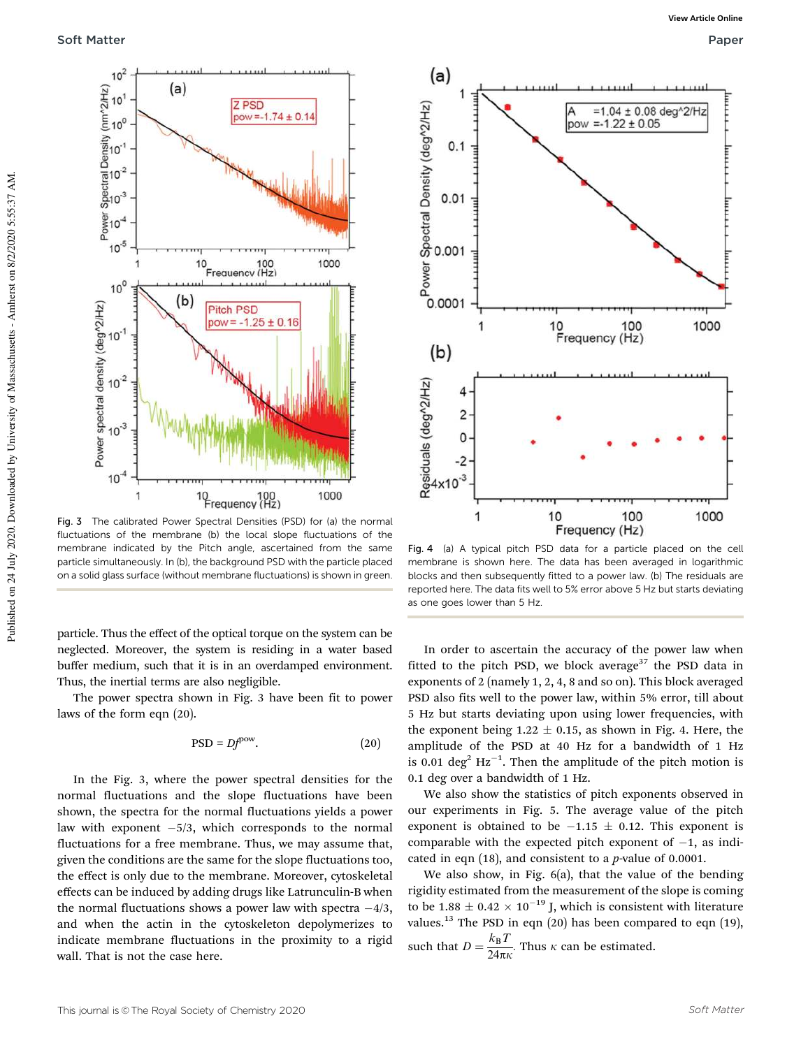

Fig. 3 The calibrated Power Spectral Densities (PSD) for (a) the normal fluctuations of the membrane (b) the local slope fluctuations of the membrane indicated by the Pitch angle, ascertained from the same particle simultaneously. In (b), the background PSD with the particle placed on a solid glass surface (without membrane fluctuations) is shown in green.

particle. Thus the effect of the optical torque on the system can be neglected. Moreover, the system is residing in a water based buffer medium, such that it is in an overdamped environment. Thus, the inertial terms are also negligible.

The power spectra shown in Fig. 3 have been fit to power laws of the form eqn (20).

$$
PSD = Df^{pow}.\t(20)
$$

In the Fig. 3, where the power spectral densities for the normal fluctuations and the slope fluctuations have been shown, the spectra for the normal fluctuations yields a power law with exponent -5/3, which corresponds to the normal fluctuations for a free membrane. Thus, we may assume that, given the conditions are the same for the slope fluctuations too, the effect is only due to the membrane. Moreover, cytoskeletal effects can be induced by adding drugs like Latrunculin-B when the normal fluctuations shows a power law with spectra  $-4/3$ , and when the actin in the cytoskeleton depolymerizes to indicate membrane fluctuations in the proximity to a rigid wall. That is not the case here.



Fig. 4 (a) A typical pitch PSD data for a particle placed on the cell membrane is shown here. The data has been averaged in logarithmic blocks and then subsequently fitted to a power law. (b) The residuals are reported here. The data fits well to 5% error above 5 Hz but starts deviating as one goes lower than 5 Hz.

In order to ascertain the accuracy of the power law when fitted to the pitch PSD, we block average<sup>37</sup> the PSD data in exponents of 2 (namely 1, 2, 4, 8 and so on). This block averaged PSD also fits well to the power law, within 5% error, till about 5 Hz but starts deviating upon using lower frequencies, with the exponent being  $1.22 \pm 0.15$ , as shown in Fig. 4. Here, the amplitude of the PSD at 40 Hz for a bandwidth of 1 Hz is 0.01 deg<sup>2</sup> Hz<sup>-1</sup>. Then the amplitude of the pitch motion is 0.1 deg over a bandwidth of 1 Hz.

We also show the statistics of pitch exponents observed in our experiments in Fig. 5. The average value of the pitch exponent is obtained to be  $-1.15 \pm 0.12$ . This exponent is comparable with the expected pitch exponent of  $-1$ , as indicated in eqn (18), and consistent to a *p*-value of 0.0001.

We also show, in Fig. 6(a), that the value of the bending rigidity estimated from the measurement of the slope is coming to be  $1.88 \pm 0.42 \times 10^{-19}$  J, which is consistent with literature values.<sup>13</sup> The PSD in eqn  $(20)$  has been compared to eqn  $(19)$ , such that  $D = \frac{k_B T}{24\pi R}$  $\frac{n_{\rm B}^{2}}{24\pi\kappa}$ . Thus  $\kappa$  can be estimated.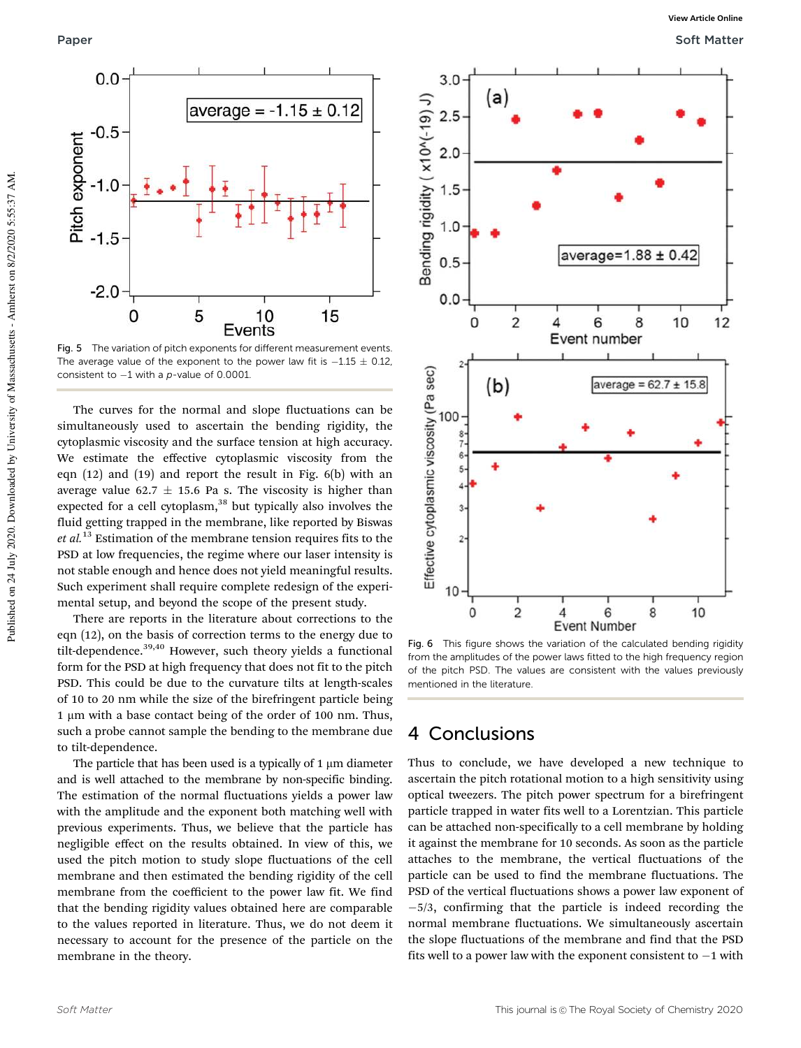

Fig. 5 The variation of pitch exponents for different measurement events. The average value of the exponent to the power law fit is  $-1.15\,\pm\,0.12$ , consistent to  $-1$  with a p-value of 0.0001.

The curves for the normal and slope fluctuations can be simultaneously used to ascertain the bending rigidity, the cytoplasmic viscosity and the surface tension at high accuracy. We estimate the effective cytoplasmic viscosity from the eqn (12) and (19) and report the result in Fig. 6(b) with an average value 62.7  $\pm$  15.6 Pa s. The viscosity is higher than expected for a cell cytoplasm,<sup>38</sup> but typically also involves the fluid getting trapped in the membrane, like reported by Biswas *et al.*<sup>13</sup> Estimation of the membrane tension requires fits to the PSD at low frequencies, the regime where our laser intensity is not stable enough and hence does not yield meaningful results. Such experiment shall require complete redesign of the experimental setup, and beyond the scope of the present study.

There are reports in the literature about corrections to the eqn (12), on the basis of correction terms to the energy due to tilt-dependence. $39,40$  However, such theory yields a functional form for the PSD at high frequency that does not fit to the pitch PSD. This could be due to the curvature tilts at length-scales of 10 to 20 nm while the size of the birefringent particle being 1 µm with a base contact being of the order of 100 nm. Thus, such a probe cannot sample the bending to the membrane due to tilt-dependence.

The particle that has been used is a typically of  $1 \mu m$  diameter and is well attached to the membrane by non-specific binding. The estimation of the normal fluctuations yields a power law with the amplitude and the exponent both matching well with previous experiments. Thus, we believe that the particle has negligible effect on the results obtained. In view of this, we used the pitch motion to study slope fluctuations of the cell membrane and then estimated the bending rigidity of the cell membrane from the coefficient to the power law fit. We find that the bending rigidity values obtained here are comparable to the values reported in literature. Thus, we do not deem it necessary to account for the presence of the particle on the membrane in the theory.



Fig. 6 This figure shows the variation of the calculated bending rigidity from the amplitudes of the power laws fitted to the high frequency region of the pitch PSD. The values are consistent with the values previously mentioned in the literature.

### 4 Conclusions

Thus to conclude, we have developed a new technique to ascertain the pitch rotational motion to a high sensitivity using optical tweezers. The pitch power spectrum for a birefringent particle trapped in water fits well to a Lorentzian. This particle can be attached non-specifically to a cell membrane by holding it against the membrane for 10 seconds. As soon as the particle attaches to the membrane, the vertical fluctuations of the particle can be used to find the membrane fluctuations. The PSD of the vertical fluctuations shows a power law exponent of -5/3, confirming that the particle is indeed recording the normal membrane fluctuations. We simultaneously ascertain the slope fluctuations of the membrane and find that the PSD fits well to a power law with the exponent consistent to  $-1$  with